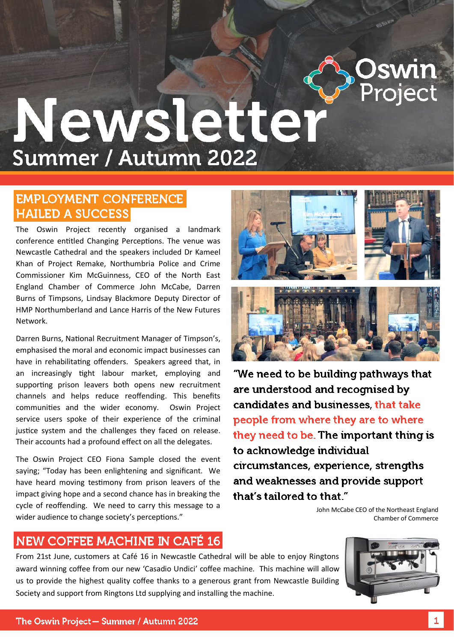

# Newsletter Summer / Autumn 2022

## **EMPLOYMENT CONFERENCE HAILED A SUCCESS**

The Oswin Project recently organised a landmark conference entitled Changing Perceptions. The venue was Newcastle Cathedral and the speakers included Dr Kameel Khan of Project Remake, Northumbria Police and Crime Commissioner Kim McGuinness, CEO of the North East England Chamber of Commerce John McCabe, Darren Burns of Timpsons, Lindsay Blackmore Deputy Director of HMP Northumberland and Lance Harris of the New Futures Network.

Darren Burns, National Recruitment Manager of Timpson's, emphasised the moral and economic impact businesses can have in rehabilitating offenders. Speakers agreed that, in an increasingly tight labour market, employing and supporting prison leavers both opens new recruitment channels and helps reduce reoffending. This benefits communities and the wider economy. Oswin Project service users spoke of their experience of the criminal justice system and the challenges they faced on release. Their accounts had a profound effect on all the delegates.

The Oswin Project CEO Fiona Sample closed the event saying; "Today has been enlightening and significant. We have heard moving testimony from prison leavers of the impact giving hope and a second chance has in breaking the cycle of reoffending. We need to carry this message to a wider audience to change society's perceptions."





"We need to be building pathways that are understood and recognised by candidates and businesses, that take people from where they are to where they need to be. The important thing is to acknowledge individual circumstances, experience, strengths and weaknesses and provide support that's tailored to that."

> John McCabe CEO of the Northeast England Chamber of Commerce

## NEW COFFEE MACHINE IN CAFÉ 16

From 21st June, customers at Café 16 in Newcastle Cathedral will be able to enjoy Ringtons award winning coffee from our new 'Casadio Undici' coffee machine. This machine will allow us to provide the highest quality coffee thanks to a generous grant from Newcastle Building Society and support from Ringtons Ltd supplying and installing the machine.

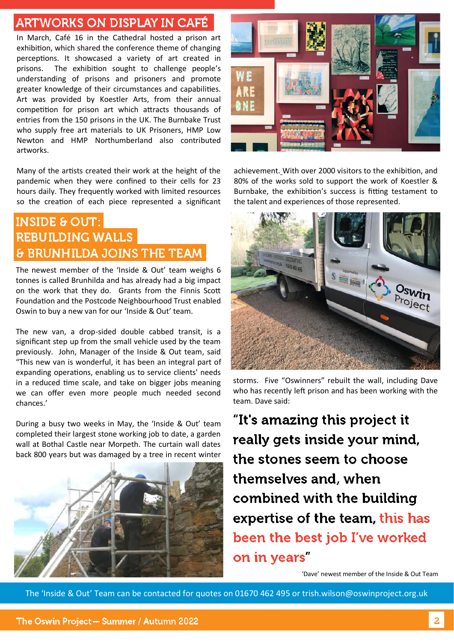## **ARTWORKS ON DISPLAY IN CAFÉ**

In March, Café 16 in the Cathedral hosted a prison art exhibition, which shared the conference theme of changing perceptions. It showcased a variety of art created in prisons. The exhibition sought to challenge people's understanding of prisons and prisoners and promote greater knowledge of their circumstances and capabilities. Art was provided by Koestler Arts, from their annual competition for prison art which attracts thousands of entries from the 150 prisons in the UK. The Burnbake Trust who supply free art materials to UK Prisoners, HMP Low Newton and HMP Northumberland also contributed artworks.

Many of the artists created their work at the height of the pandemic when they were confined to their cells for 23 hours daily. They frequently worked with limited resources so the creation of each piece represented a significant

## **INSIDE & OUT: REBUILDING WALLS & BRUNHILDA JOINS THE TEAM**

The newest member of the 'Inside & Out' team weighs 6 tonnes is called Brunhilda and has already had a big impact on the work that they do. Grants from the Finnis Scott Foundation and the Postcode Neighbourhood Trust enabled Oswin to buy a new van for our 'Inside & Out' team.

The new van, a drop-sided double cabbed transit, is a significant step up from the small vehicle used by the team previously. John, Manager of the Inside & Out team, said "This new van is wonderful, it has been an integral part of expanding operations, enabling us to service clients' needs in a reduced time scale, and take on bigger jobs meaning we can offer even more people much needed second chances.'

During a busy two weeks in May, the 'Inside & Out' team completed their largest stone working job to date, a garden wall at Bothal Castle near Morpeth. The curtain wall dates back 800 years but was damaged by a tree in recent winter





achievement. With over 2000 visitors to the exhibition, and 80% of the works sold to support the work of Koestler & Burnbake, the exhibition's success is fitting testament to the talent and experiences of those represented.



storms. Five "Oswinners" rebuilt the wall, including Dave who has recently left prison and has been working with the team. Dave said:

"It's amazing this project it really gets inside your mind, the stones seem to choose themselves and, when combined with the building expertise of the team, this has been the best job I've worked on in years

'Dave' newest member of the Inside & Out Team

The 'Inside & Out' Team can be contacted for quotes on 01670 462 495 or trish.wilson@oswinproject.org.uk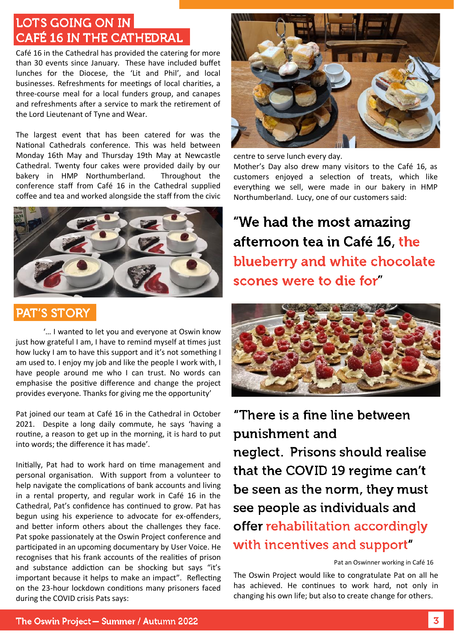## LOTS GOING ON IN **CAFÉ 16 IN THE CATHEDRAL**

Café 16 in the Cathedral has provided the catering for more than 30 events since January. These have included buffet lunches for the Diocese, the 'Lit and Phil', and local businesses. Refreshments for meetings of local charities, a three-course meal for a local funders group, and canapes and refreshments after a service to mark the retirement of the Lord Lieutenant of Tyne and Wear.

The largest event that has been catered for was the National Cathedrals conference. This was held between Monday 16th May and Thursday 19th May at Newcastle Cathedral. Twenty four cakes were provided daily by our bakery in HMP Northumberland. Throughout the conference staff from Café 16 in the Cathedral supplied coffee and tea and worked alongside the staff from the civic



## **PAT'S STORY**

'… I wanted to let you and everyone at Oswin know just how grateful I am. I have to remind myself at times just how lucky I am to have this support and it's not something I am used to. I enjoy my job and like the people I work with, I have people around me who I can trust. No words can emphasise the positive difference and change the project provides everyone. Thanks for giving me the opportunity'

Pat joined our team at Café 16 in the Cathedral in October 2021. Despite a long daily commute, he says 'having a routine, a reason to get up in the morning, it is hard to put into words; the difference it has made'.

Initially, Pat had to work hard on time management and personal organisation. With support from a volunteer to help navigate the complications of bank accounts and living in a rental property, and regular work in Café 16 in the Cathedral, Pat's confidence has continued to grow. Pat has begun using his experience to advocate for ex-offenders, and better inform others about the challenges they face. Pat spoke passionately at the Oswin Project conference and participated in an upcoming documentary by User Voice. He recognises that his frank accounts of the realities of prison and substance addiction can be shocking but says "it's important because it helps to make an impact". Reflecting on the 23-hour lockdown conditions many prisoners faced during the COVID crisis Pats says:



centre to serve lunch every day.

Mother's Day also drew many visitors to the Café 16, as customers enjoyed a selection of treats, which like everything we sell, were made in our bakery in HMP Northumberland. Lucy, one of our customers said:

"We had the most amazing afternoon tea in Café 16, the blueberry and white chocolate scones were to die for



"There is a fine line between punishment and neglect. Prisons should realise that the COVID 19 regime can't be seen as the norm, they must see people as individuals and offer rehabilitation accordingly with incentives and support"

#### Pat an Oswinner working in Café 16

The Oswin Project would like to congratulate Pat on all he has achieved. He continues to work hard, not only in changing his own life; but also to create change for others.